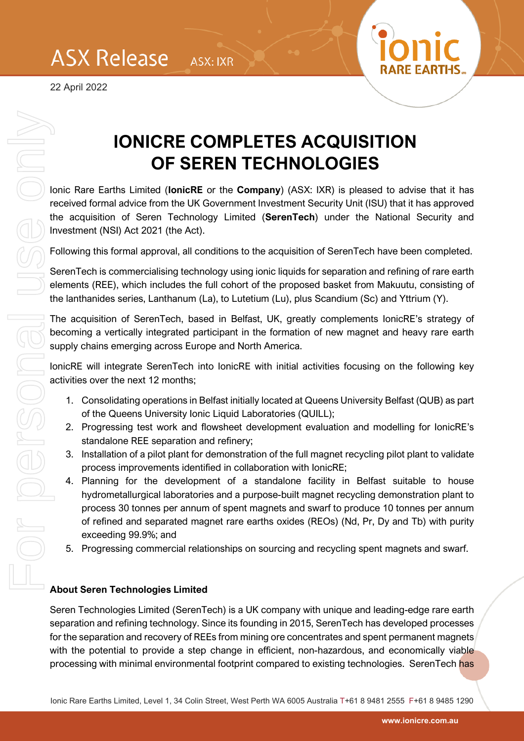**ASX Release** ASX: IXR

22 April 2022



## **IONICRE COMPLETES ACQUISITION OF SEREN TECHNOLOGIES**

Ionic Rare Earths Limited (**IonicRE** or the **Company**) (ASX: IXR) is pleased to advise that it has received formal advice from the UK Government Investment Security Unit (ISU) that it has approved the acquisition of Seren Technology Limited (**SerenTech**) under the National Security and Investment (NSI) Act 2021 (the Act).

Following this formal approval, all conditions to the acquisition of SerenTech have been completed.

SerenTech is commercialising technology using ionic liquids for separation and refining of rare earth elements (REE), which includes the full cohort of the proposed basket from Makuutu, consisting of the lanthanides series, Lanthanum (La), to Lutetium (Lu), plus Scandium (Sc) and Yttrium (Y).

The acquisition of SerenTech, based in Belfast, UK, greatly complements IonicRE's strategy of becoming a vertically integrated participant in the formation of new magnet and heavy rare earth supply chains emerging across Europe and North America.

IonicRE will integrate SerenTech into IonicRE with initial activities focusing on the following key activities over the next 12 months;

- 1. Consolidating operations in Belfast initially located at Queens University Belfast (QUB) as part of the Queens University Ionic Liquid Laboratories (QUILL);
- 2. Progressing test work and flowsheet development evaluation and modelling for IonicRE's standalone REE separation and refinery;
- 3. Installation of a pilot plant for demonstration of the full magnet recycling pilot plant to validate process improvements identified in collaboration with IonicRE;
- 4. Planning for the development of a standalone facility in Belfast suitable to house hydrometallurgical laboratories and a purpose-built magnet recycling demonstration plant to process 30 tonnes per annum of spent magnets and swarf to produce 10 tonnes per annum of refined and separated magnet rare earths oxides (REOs) (Nd, Pr, Dy and Tb) with purity exceeding 99.9%; and
- 5. Progressing commercial relationships on sourcing and recycling spent magnets and swarf.

## **About Seren Technologies Limited**

Seren Technologies Limited (SerenTech) is a UK company with unique and leading-edge rare earth separation and refining technology. Since its founding in 2015, SerenTech has developed processes for the separation and recovery of REEs from mining ore concentrates and spent permanent magnets with the potential to provide a step change in efficient, non-hazardous, and economically viable